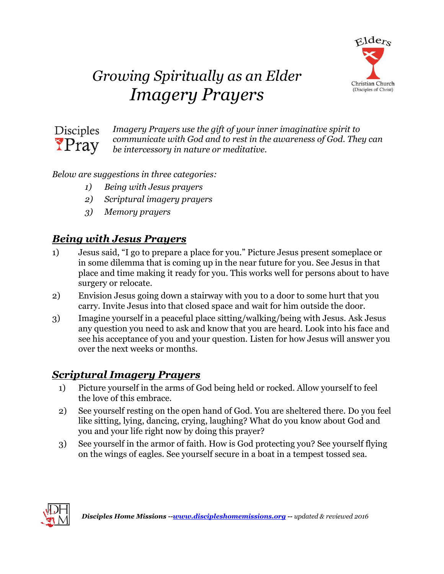

# *Growing Spiritually as an Elder Imagery Prayers*



*Imagery Prayers use the gift of your inner imaginative spirit to communicate with God and to rest in the awareness of God. They can be intercessory in nature or meditative.*

#### *Below are suggestions in three categories:*

- *1) Being with Jesus prayers*
- *2) Scriptural imagery prayers*
- *3) Memory prayers*

## *Being with Jesus Prayers*

- 1) Jesus said, "I go to prepare a place for you." Picture Jesus present someplace or in some dilemma that is coming up in the near future for you. See Jesus in that place and time making it ready for you. This works well for persons about to have surgery or relocate.
- 2) Envision Jesus going down a stairway with you to a door to some hurt that you carry. Invite Jesus into that closed space and wait for him outside the door.
- 3) Imagine yourself in a peaceful place sitting/walking/being with Jesus. Ask Jesus any question you need to ask and know that you are heard. Look into his face and see his acceptance of you and your question. Listen for how Jesus will answer you over the next weeks or months.

#### *Scriptural Imagery Prayers*

- 1) Picture yourself in the arms of God being held or rocked. Allow yourself to feel the love of this embrace.
- 2) See yourself resting on the open hand of God. You are sheltered there. Do you feel like sitting, lying, dancing, crying, laughing? What do you know about God and you and your life right now by doing this prayer?
- 3) See yourself in the armor of faith. How is God protecting you? See yourself flying on the wings of eagles. See yourself secure in a boat in a tempest tossed sea.